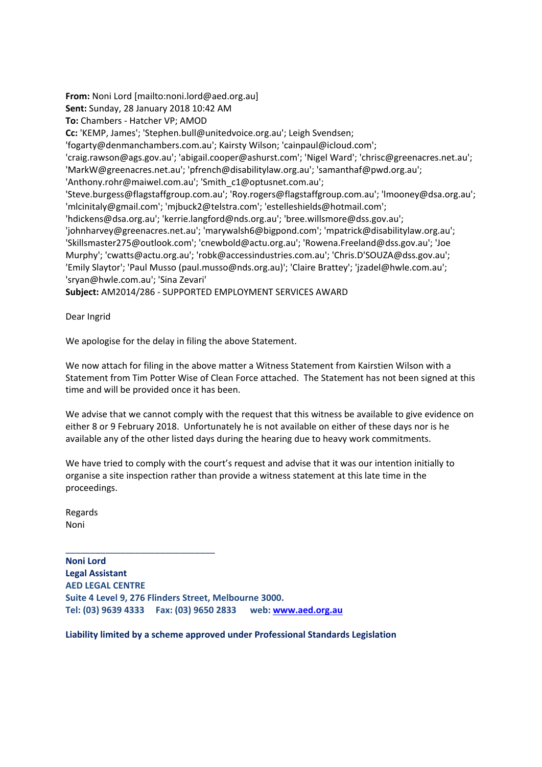**From:** Noni Lord [mailto:noni.lord@aed.org.au] **Sent:** Sunday, 28 January 2018 10:42 AM **To:** Chambers - Hatcher VP; AMOD **Cc:** 'KEMP, James'; 'Stephen.bull@unitedvoice.org.au'; Leigh Svendsen; 'fogarty@denmanchambers.com.au'; Kairsty Wilson; 'cainpaul@icloud.com'; 'craig.rawson@ags.gov.au'; 'abigail.cooper@ashurst.com'; 'Nigel Ward'; 'chrisc@greenacres.net.au'; 'MarkW@greenacres.net.au'; 'pfrench@disabilitylaw.org.au'; 'samanthaf@pwd.org.au'; 'Anthony.rohr@maiwel.com.au'; 'Smith\_c1@optusnet.com.au'; 'Steve.burgess@flagstaffgroup.com.au'; 'Roy.rogers@flagstaffgroup.com.au'; 'lmooney@dsa.org.au'; 'mlcinitaly@gmail.com'; 'mjbuck2@telstra.com'; 'estelleshields@hotmail.com'; 'hdickens@dsa.org.au'; 'kerrie.langford@nds.org.au'; 'bree.willsmore@dss.gov.au'; 'johnharvey@greenacres.net.au'; 'marywalsh6@bigpond.com'; 'mpatrick@disabilitylaw.org.au'; 'Skillsmaster275@outlook.com'; 'cnewbold@actu.org.au'; 'Rowena.Freeland@dss.gov.au'; 'Joe Murphy'; 'cwatts@actu.org.au'; 'robk@accessindustries.com.au'; 'Chris.D'SOUZA@dss.gov.au'; 'Emily Slaytor'; 'Paul Musso (paul.musso@nds.org.au)'; 'Claire Brattey'; 'jzadel@hwle.com.au'; 'sryan@hwle.com.au'; 'Sina Zevari' **Subject:** AM2014/286 - SUPPORTED EMPLOYMENT SERVICES AWARD

Dear Ingrid

We apologise for the delay in filing the above Statement.

We now attach for filing in the above matter a Witness Statement from Kairstien Wilson with a Statement from Tim Potter Wise of Clean Force attached. The Statement has not been signed at this time and will be provided once it has been.

We advise that we cannot comply with the request that this witness be available to give evidence on either 8 or 9 February 2018. Unfortunately he is not available on either of these days nor is he available any of the other listed days during the hearing due to heavy work commitments.

We have tried to comply with the court's request and advise that it was our intention initially to organise a site inspection rather than provide a witness statement at this late time in the proceedings.

Regards Noni

\_\_\_\_\_\_\_\_\_\_\_\_\_\_\_\_\_\_\_\_\_\_\_\_\_\_\_\_\_\_

**Noni Lord Legal Assistant AED LEGAL CENTRE Suite 4 Level 9, 276 Flinders Street, Melbourne 3000. Tel: (03) 9639 4333 Fax: (03) 9650 2833 web:<www.aed.org.au>**

**Liability limited by a scheme approved under Professional Standards Legislation**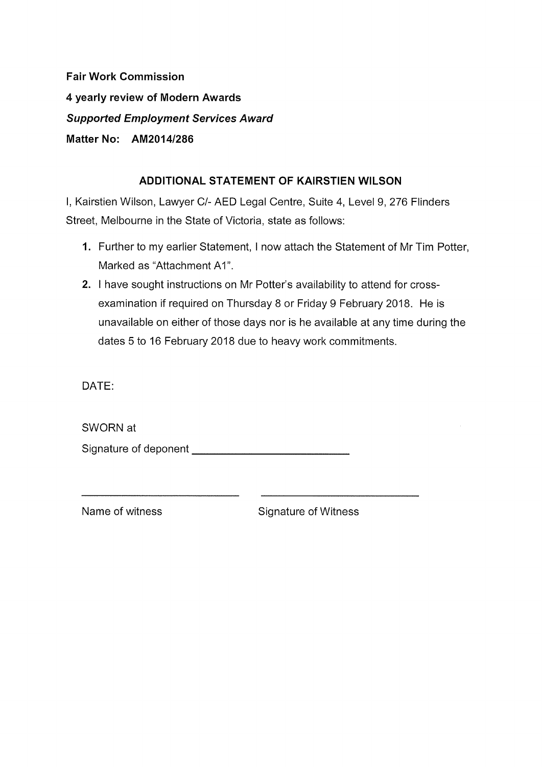**Fair Work Commission** 4 yearly review of Modern Awards **Supported Employment Services Award** Matter No: AM2014/286

# ADDITIONAL STATEMENT OF KAIRSTIEN WILSON

I, Kairstien Wilson, Lawyer C/- AED Legal Centre, Suite 4, Level 9, 276 Flinders Street, Melbourne in the State of Victoria, state as follows:

- 1. Further to my earlier Statement, I now attach the Statement of Mr Tim Potter, Marked as "Attachment A1".
- 2. I have sought instructions on Mr Potter's availability to attend for crossexamination if required on Thursday 8 or Friday 9 February 2018. He is unavailable on either of those days nor is he available at any time during the dates 5 to 16 February 2018 due to heavy work commitments.

DATE:

SWORN at 

Name of witness

**Signature of Witness**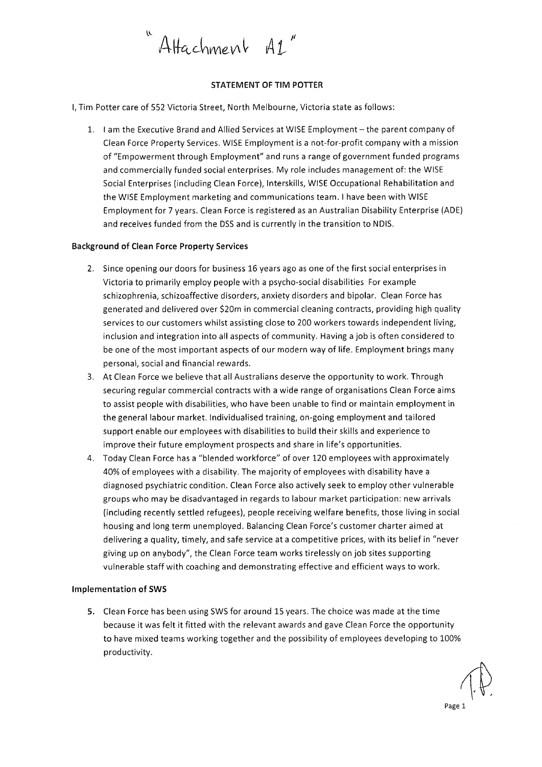

## **STATEMENT OF TIM POTTER**

I, Tim Potter care of 552 Victoria Street, North Melbourne, Victoria state as follows:

1. I am the Executive Brand and Allied Services at WISE Employment - the parent company of Clean Force Property Services. WISE Employment is a not-for-profit company with a mission of "Empowerment through Employment" and runs a range of government funded programs and commercially funded social enterprises. My role includes management of: the WISE Social Enterprises (including Clean Force), Interskills, WISE Occupational Rehabilitation and the WISE Employment marketing and communications team. I have been with WISE Employment for 7 years. Clean Force is registered as an Australian Disability Enterprise (ADE) and receives funded from the DSS and is currently in the transition to NDIS.

#### **Background of Clean Force Property Services**

- 2. Since opening our doors for business 16 years ago as one of the first social enterprises in Victoria to primarily employ people with a psycho-social disabilities For example schizophrenia, schizoaffective disorders, anxiety disorders and bipolar. Clean Force has generated and delivered over \$20m in commercial cleaning contracts, providing high quality services to our customers whilst assisting close to 200 workers towards independent living, inclusion and integration into all aspects of community. Having a job is often considered to be one of the most important aspects of our modern way of life. Employment brings many personal, social and financial rewards.
- 3. At Clean Force we believe that all Australians deserve the opportunity to work. Through securing regular commercial contracts with a wide range of organisations Clean Force aims to assist people with disabilities, who have been unable to find or maintain employment in the general labour market. Individualised training, on-going employment and tailored support enable our employees with disabilities to build their skills and experience to improve their future employment prospects and share in life's opportunities.
- 4. Today Clean Force has a "blended workforce" of over 120 employees with approximately 40% of employees with a disability. The majority of employees with disability have a diagnosed psychiatric condition. Clean Force also actively seek to employ other vulnerable groups who may be disadvantaged in regards to labour market participation: new arrivals (including recently settled refugees), people receiving welfare benefits, those living in social housing and long term unemployed. Balancing Clean Force's customer charter aimed at delivering a quality, timely, and safe service at a competitive prices, with its belief in "never giving up on anybody", the Clean Force team works tirelessly on job sites supporting vulnerable staff with coaching and demonstrating effective and efficient ways to work.

#### **Implementation of SWS**

5. Clean Force has been using SWS for around 15 years. The choice was made at the time because it was felt it fitted with the relevant awards and gave Clean Force the opportunity to have mixed teams working together and the possibility of employees developing to 100% productivity.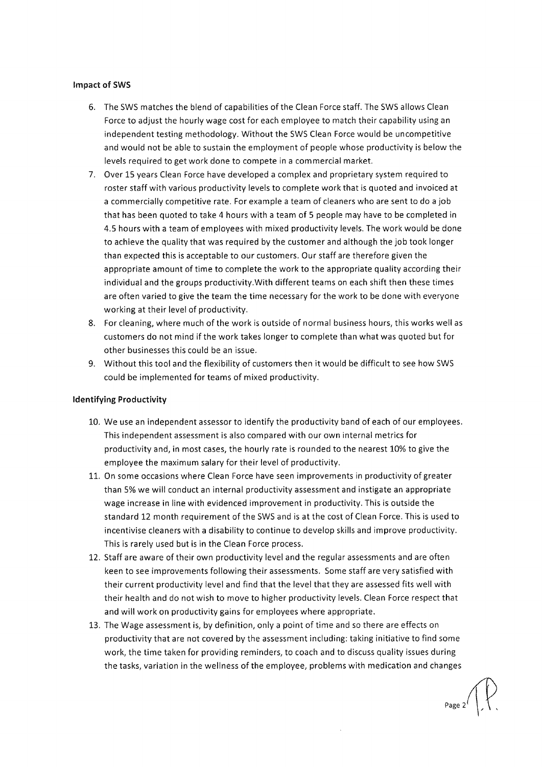### **Impact of SWS**

- 6. The SWS matches the blend of capabilities of the Clean Force staff. The SWS allows Clean Force to adjust the hourly wage cost for each employee to match their capability using an independent testing methodology. Without the SWS Clean Force would be uncompetitive and would not be able to sustain the employment of people whose productivity is below the levels required to get work done to compete in a commercial market.
- 7. Over 15 years Clean Force have developed a complex and proprietary system required to roster staff with various productivity levels to complete work that is quoted and invoiced at a commercially competitive rate. For example a team of cleaners who are sent to do a job that has been quoted to take 4 hours with a team of 5 people may have to be completed in 4.5 hours with a team of employees with mixed productivity levels. The work would be done to achieve the quality that was required by the customer and although the job took longer than expected this is acceptable to our customers. Our staff are therefore given the appropriate amount of time to complete the work to the appropriate quality according their individual and the groups productivity. With different teams on each shift then these times are often varied to give the team the time necessary for the work to be done with everyone working at their level of productivity.
- 8. For cleaning, where much of the work is outside of normal business hours, this works well as customers do not mind if the work takes longer to complete than what was quoted but for other businesses this could be an issue.
- 9. Without this tool and the flexibility of customers then it would be difficult to see how SWS could be implemented for teams of mixed productivity.

#### **Identifying Productivity**

- 10. We use an independent assessor to identify the productivity band of each of our employees. This independent assessment is also compared with our own internal metrics for productivity and, in most cases, the hourly rate is rounded to the nearest 10% to give the employee the maximum salary for their level of productivity.
- 11. On some occasions where Clean Force have seen improvements in productivity of greater than 5% we will conduct an internal productivity assessment and instigate an appropriate wage increase in line with evidenced improvement in productivity. This is outside the standard 12 month requirement of the SWS and is at the cost of Clean Force. This is used to incentivise cleaners with a disability to continue to develop skills and improve productivity. This is rarely used but is in the Clean Force process.
- 12. Staff are aware of their own productivity level and the regular assessments and are often keen to see improvements following their assessments. Some staff are very satisfied with their current productivity level and find that the level that they are assessed fits well with their health and do not wish to move to higher productivity levels. Clean Force respect that and will work on productivity gains for employees where appropriate.
- 13. The Wage assessment is, by definition, only a point of time and so there are effects on productivity that are not covered by the assessment including: taking initiative to find some work, the time taken for providing reminders, to coach and to discuss quality issues during the tasks, variation in the wellness of the employee, problems with medication and changes